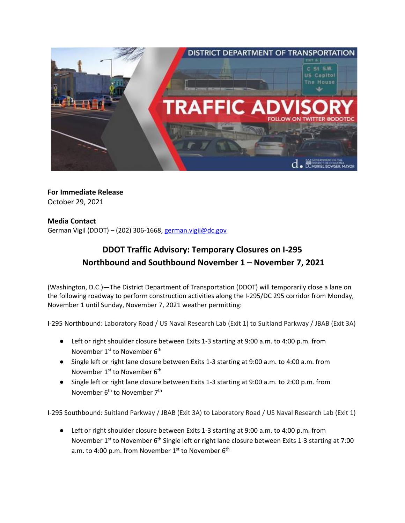

**For Immediate Release** October 29, 2021

## **Media Contact**

German Vigil (DDOT) – (202) 306-1668, [german.vigil@dc.gov](mailto:german.vigil@dc.gov)

## **DDOT Traffic Advisory: Temporary Closures on I-295 Northbound and Southbound November 1 – November 7, 2021**

(Washington, D.C.)—The District Department of Transportation (DDOT) will temporarily close a lane on the following roadway to perform construction activities along the I-295/DC 295 corridor from Monday, November 1 until Sunday, November 7, 2021 weather permitting:

I-295 Northbound: Laboratory Road / US Naval Research Lab (Exit 1) to Suitland Parkway / JBAB (Exit 3A)

- Left or right shoulder closure between Exits 1-3 starting at 9:00 a.m. to 4:00 p.m. from November 1<sup>st</sup> to November 6<sup>th</sup>
- Single left or right lane closure between Exits 1-3 starting at 9:00 a.m. to 4:00 a.m. from November  $1<sup>st</sup>$  to November  $6<sup>th</sup>$
- Single left or right lane closure between Exits 1-3 starting at 9:00 a.m. to 2:00 p.m. from November  $6<sup>th</sup>$  to November  $7<sup>th</sup>$

I-295 Southbound: Suitland Parkway / JBAB (Exit 3A) to Laboratory Road / US Naval Research Lab (Exit 1)

● Left or right shoulder closure between Exits 1-3 starting at 9:00 a.m. to 4:00 p.m. from November 1<sup>st</sup> to November 6<sup>th</sup> Single left or right lane closure between Exits 1-3 starting at 7:00 a.m. to 4:00 p.m. from November  $1^{st}$  to November  $6^{th}$